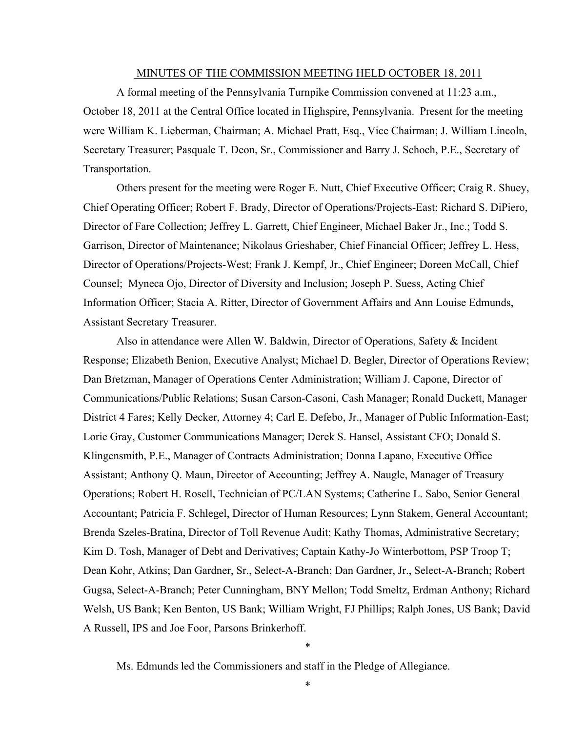#### MINUTES OF THE COMMISSION MEETING HELD OCTOBER 18, 2011

A formal meeting of the Pennsylvania Turnpike Commission convened at 11:23 a.m., October 18, 2011 at the Central Office located in Highspire, Pennsylvania. Present for the meeting were William K. Lieberman, Chairman; A. Michael Pratt, Esq., Vice Chairman; J. William Lincoln, Secretary Treasurer; Pasquale T. Deon, Sr., Commissioner and Barry J. Schoch, P.E., Secretary of Transportation.

Others present for the meeting were Roger E. Nutt, Chief Executive Officer; Craig R. Shuey, Chief Operating Officer; Robert F. Brady, Director of Operations/Projects-East; Richard S. DiPiero, Director of Fare Collection; Jeffrey L. Garrett, Chief Engineer, Michael Baker Jr., Inc.; Todd S. Garrison, Director of Maintenance; Nikolaus Grieshaber, Chief Financial Officer; Jeffrey L. Hess, Director of Operations/Projects-West; Frank J. Kempf, Jr., Chief Engineer; Doreen McCall, Chief Counsel; Myneca Ojo, Director of Diversity and Inclusion; Joseph P. Suess, Acting Chief Information Officer; Stacia A. Ritter, Director of Government Affairs and Ann Louise Edmunds, Assistant Secretary Treasurer.

Also in attendance were Allen W. Baldwin, Director of Operations, Safety & Incident Response; Elizabeth Benion, Executive Analyst; Michael D. Begler, Director of Operations Review; Dan Bretzman, Manager of Operations Center Administration; William J. Capone, Director of Communications/Public Relations; Susan Carson-Casoni, Cash Manager; Ronald Duckett, Manager District 4 Fares; Kelly Decker, Attorney 4; Carl E. Defebo, Jr., Manager of Public Information-East; Lorie Gray, Customer Communications Manager; Derek S. Hansel, Assistant CFO; Donald S. Klingensmith, P.E., Manager of Contracts Administration; Donna Lapano, Executive Office Assistant; Anthony Q. Maun, Director of Accounting; Jeffrey A. Naugle, Manager of Treasury Operations; Robert H. Rosell, Technician of PC/LAN Systems; Catherine L. Sabo, Senior General Accountant; Patricia F. Schlegel, Director of Human Resources; Lynn Stakem, General Accountant; Brenda Szeles-Bratina, Director of Toll Revenue Audit; Kathy Thomas, Administrative Secretary; Kim D. Tosh, Manager of Debt and Derivatives; Captain Kathy-Jo Winterbottom, PSP Troop T; Dean Kohr, Atkins; Dan Gardner, Sr., Select-A-Branch; Dan Gardner, Jr., Select-A-Branch; Robert Gugsa, Select-A-Branch; Peter Cunningham, BNY Mellon; Todd Smeltz, Erdman Anthony; Richard Welsh, US Bank; Ken Benton, US Bank; William Wright, FJ Phillips; Ralph Jones, US Bank; David A Russell, IPS and Joe Foor, Parsons Brinkerhoff.

Ms. Edmunds led the Commissioners and staff in the Pledge of Allegiance.

\*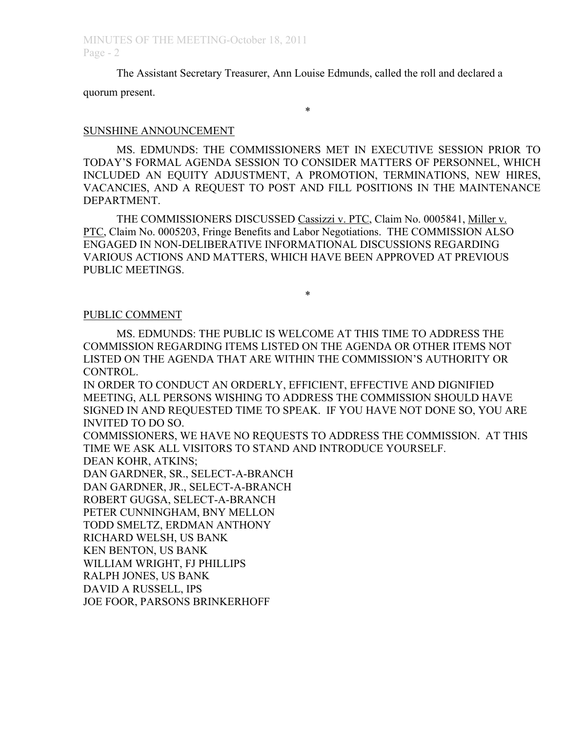The Assistant Secretary Treasurer, Ann Louise Edmunds, called the roll and declared a quorum present.

#### \*

#### SUNSHINE ANNOUNCEMENT

MS. EDMUNDS: THE COMMISSIONERS MET IN EXECUTIVE SESSION PRIOR TO TODAY'S FORMAL AGENDA SESSION TO CONSIDER MATTERS OF PERSONNEL, WHICH INCLUDED AN EQUITY ADJUSTMENT, A PROMOTION, TERMINATIONS, NEW HIRES, VACANCIES, AND A REQUEST TO POST AND FILL POSITIONS IN THE MAINTENANCE DEPARTMENT.

THE COMMISSIONERS DISCUSSED Cassizzi v. PTC, Claim No. 0005841, Miller v. PTC, Claim No. 0005203, Fringe Benefits and Labor Negotiations. THE COMMISSION ALSO ENGAGED IN NON-DELIBERATIVE INFORMATIONAL DISCUSSIONS REGARDING VARIOUS ACTIONS AND MATTERS, WHICH HAVE BEEN APPROVED AT PREVIOUS PUBLIC MEETINGS.

#### \*

#### PUBLIC COMMENT

MS. EDMUNDS: THE PUBLIC IS WELCOME AT THIS TIME TO ADDRESS THE COMMISSION REGARDING ITEMS LISTED ON THE AGENDA OR OTHER ITEMS NOT LISTED ON THE AGENDA THAT ARE WITHIN THE COMMISSION'S AUTHORITY OR CONTROL.

IN ORDER TO CONDUCT AN ORDERLY, EFFICIENT, EFFECTIVE AND DIGNIFIED MEETING, ALL PERSONS WISHING TO ADDRESS THE COMMISSION SHOULD HAVE SIGNED IN AND REQUESTED TIME TO SPEAK. IF YOU HAVE NOT DONE SO, YOU ARE INVITED TO DO SO.

COMMISSIONERS, WE HAVE NO REQUESTS TO ADDRESS THE COMMISSION. AT THIS TIME WE ASK ALL VISITORS TO STAND AND INTRODUCE YOURSELF.

DEAN KOHR, ATKINS;

DAN GARDNER, SR., SELECT-A-BRANCH

DAN GARDNER, JR., SELECT-A-BRANCH

ROBERT GUGSA, SELECT-A-BRANCH

PETER CUNNINGHAM, BNY MELLON

TODD SMELTZ, ERDMAN ANTHONY

RICHARD WELSH, US BANK

KEN BENTON, US BANK

WILLIAM WRIGHT, FJ PHILLIPS

RALPH JONES, US BANK

DAVID A RUSSELL, IPS

JOE FOOR, PARSONS BRINKERHOFF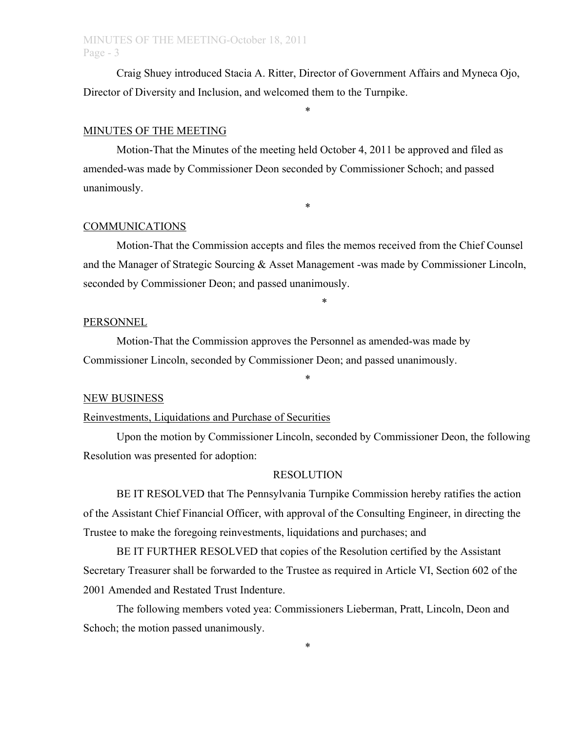Craig Shuey introduced Stacia A. Ritter, Director of Government Affairs and Myneca Ojo, Director of Diversity and Inclusion, and welcomed them to the Turnpike.

\*

### MINUTES OF THE MEETING

Motion-That the Minutes of the meeting held October 4, 2011 be approved and filed as amended-was made by Commissioner Deon seconded by Commissioner Schoch; and passed unanimously.

#### COMMUNICATIONS

Motion-That the Commission accepts and files the memos received from the Chief Counsel and the Manager of Strategic Sourcing & Asset Management -was made by Commissioner Lincoln, seconded by Commissioner Deon; and passed unanimously.

\*

\*

#### PERSONNEL

Motion-That the Commission approves the Personnel as amended-was made by Commissioner Lincoln, seconded by Commissioner Deon; and passed unanimously.

#### NEW BUSINESS

# Reinvestments, Liquidations and Purchase of Securities

Upon the motion by Commissioner Lincoln, seconded by Commissioner Deon, the following Resolution was presented for adoption:

\*

#### RESOLUTION

BE IT RESOLVED that The Pennsylvania Turnpike Commission hereby ratifies the action of the Assistant Chief Financial Officer, with approval of the Consulting Engineer, in directing the Trustee to make the foregoing reinvestments, liquidations and purchases; and

BE IT FURTHER RESOLVED that copies of the Resolution certified by the Assistant Secretary Treasurer shall be forwarded to the Trustee as required in Article VI, Section 602 of the 2001 Amended and Restated Trust Indenture.

The following members voted yea: Commissioners Lieberman, Pratt, Lincoln, Deon and Schoch; the motion passed unanimously.

\*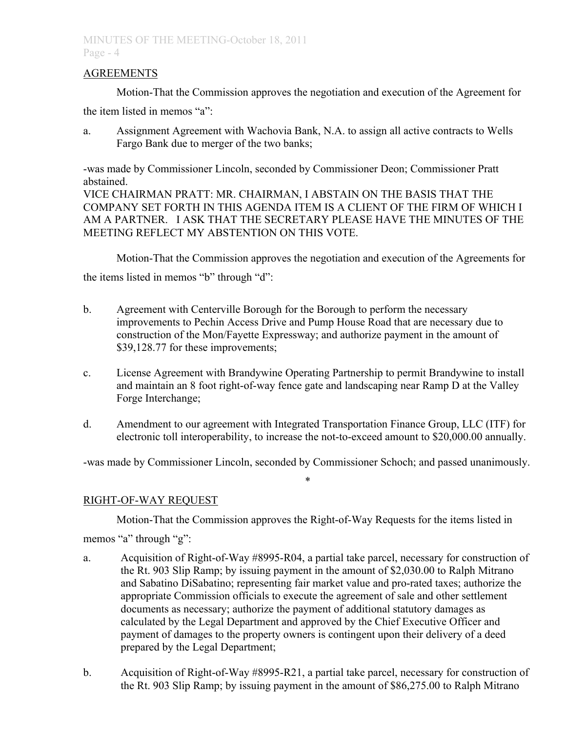### AGREEMENTS

Motion-That the Commission approves the negotiation and execution of the Agreement for

the item listed in memos "a":

a. Assignment Agreement with Wachovia Bank, N.A. to assign all active contracts to Wells Fargo Bank due to merger of the two banks;

-was made by Commissioner Lincoln, seconded by Commissioner Deon; Commissioner Pratt abstained.

VICE CHAIRMAN PRATT: MR. CHAIRMAN, I ABSTAIN ON THE BASIS THAT THE COMPANY SET FORTH IN THIS AGENDA ITEM IS A CLIENT OF THE FIRM OF WHICH I AM A PARTNER. I ASK THAT THE SECRETARY PLEASE HAVE THE MINUTES OF THE MEETING REFLECT MY ABSTENTION ON THIS VOTE.

Motion-That the Commission approves the negotiation and execution of the Agreements for the items listed in memos "b" through "d":

- b. Agreement with Centerville Borough for the Borough to perform the necessary improvements to Pechin Access Drive and Pump House Road that are necessary due to construction of the Mon/Fayette Expressway; and authorize payment in the amount of \$39,128.77 for these improvements;
- c. License Agreement with Brandywine Operating Partnership to permit Brandywine to install and maintain an 8 foot right-of-way fence gate and landscaping near Ramp D at the Valley Forge Interchange;
- d. Amendment to our agreement with Integrated Transportation Finance Group, LLC (ITF) for electronic toll interoperability, to increase the not-to-exceed amount to \$20,000.00 annually.

-was made by Commissioner Lincoln, seconded by Commissioner Schoch; and passed unanimously. \*

# RIGHT-OF-WAY REQUEST

Motion-That the Commission approves the Right-of-Way Requests for the items listed in

memos "a" through "g":

- a. Acquisition of Right-of-Way #8995-R04, a partial take parcel, necessary for construction of the Rt. 903 Slip Ramp; by issuing payment in the amount of \$2,030.00 to Ralph Mitrano and Sabatino DiSabatino; representing fair market value and pro-rated taxes; authorize the appropriate Commission officials to execute the agreement of sale and other settlement documents as necessary; authorize the payment of additional statutory damages as calculated by the Legal Department and approved by the Chief Executive Officer and payment of damages to the property owners is contingent upon their delivery of a deed prepared by the Legal Department;
- b. Acquisition of Right-of-Way #8995-R21, a partial take parcel, necessary for construction of the Rt. 903 Slip Ramp; by issuing payment in the amount of \$86,275.00 to Ralph Mitrano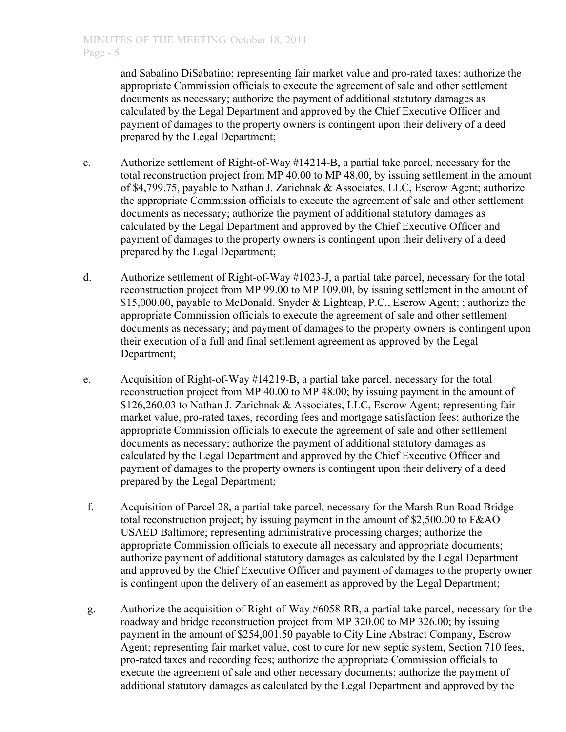and Sabatino DiSabatino; representing fair market value and pro-rated taxes; authorize the appropriate Commission officials to execute the agreement of sale and other settlement documents as necessary; authorize the payment of additional statutory damages as calculated by the Legal Department and approved by the Chief Executive Officer and payment of damages to the property owners is contingent upon their delivery of a deed prepared by the Legal Department;

- c. Authorize settlement of Right-of-Way #14214-B, a partial take parcel, necessary for the total reconstruction project from MP 40.00 to MP 48.00, by issuing settlement in the amount of \$4,799.75, payable to Nathan J. Zarichnak & Associates, LLC, Escrow Agent; authorize the appropriate Commission officials to execute the agreement of sale and other settlement documents as necessary; authorize the payment of additional statutory damages as calculated by the Legal Department and approved by the Chief Executive Officer and payment of damages to the property owners is contingent upon their delivery of a deed prepared by the Legal Department;
- d. Authorize settlement of Right-of-Way #1023-J, a partial take parcel, necessary for the total reconstruction project from MP 99.00 to MP 109.00, by issuing settlement in the amount of \$15,000.00, payable to McDonald, Snyder & Lightcap, P.C., Escrow Agent; ; authorize the appropriate Commission officials to execute the agreement of sale and other settlement documents as necessary; and payment of damages to the property owners is contingent upon their execution of a full and final settlement agreement as approved by the Legal Department;
- e. Acquisition of Right-of-Way #14219-B, a partial take parcel, necessary for the total reconstruction project from MP 40.00 to MP 48.00; by issuing payment in the amount of \$126,260.03 to Nathan J. Zarichnak & Associates, LLC, Escrow Agent; representing fair market value, pro-rated taxes, recording fees and mortgage satisfaction fees; authorize the appropriate Commission officials to execute the agreement of sale and other settlement documents as necessary; authorize the payment of additional statutory damages as calculated by the Legal Department and approved by the Chief Executive Officer and payment of damages to the property owners is contingent upon their delivery of a deed prepared by the Legal Department;
- f. Acquisition of Parcel 28, a partial take parcel, necessary for the Marsh Run Road Bridge total reconstruction project; by issuing payment in the amount of \$2,500.00 to F&AO USAED Baltimore; representing administrative processing charges; authorize the appropriate Commission officials to execute all necessary and appropriate documents; authorize payment of additional statutory damages as calculated by the Legal Department and approved by the Chief Executive Officer and payment of damages to the property owner is contingent upon the delivery of an easement as approved by the Legal Department;
- g. Authorize the acquisition of Right-of-Way #6058-RB, a partial take parcel, necessary for the roadway and bridge reconstruction project from MP 320.00 to MP 326.00; by issuing payment in the amount of \$254,001.50 payable to City Line Abstract Company, Escrow Agent; representing fair market value, cost to cure for new septic system, Section 710 fees, pro-rated taxes and recording fees; authorize the appropriate Commission officials to execute the agreement of sale and other necessary documents; authorize the payment of additional statutory damages as calculated by the Legal Department and approved by the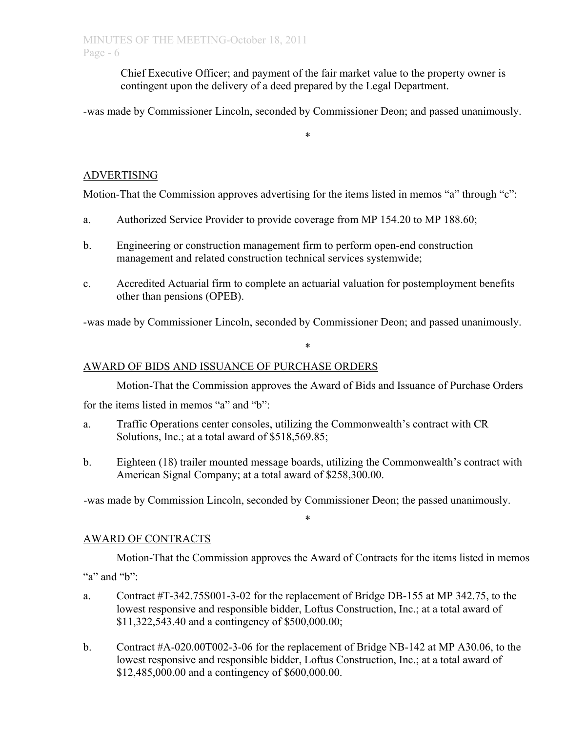Chief Executive Officer; and payment of the fair market value to the property owner is contingent upon the delivery of a deed prepared by the Legal Department.

-was made by Commissioner Lincoln, seconded by Commissioner Deon; and passed unanimously.

\*

# ADVERTISING

Motion-That the Commission approves advertising for the items listed in memos "a" through "c":

- a. Authorized Service Provider to provide coverage from MP 154.20 to MP 188.60;
- b. Engineering or construction management firm to perform open-end construction management and related construction technical services systemwide;
- c. Accredited Actuarial firm to complete an actuarial valuation for postemployment benefits other than pensions (OPEB).

-was made by Commissioner Lincoln, seconded by Commissioner Deon; and passed unanimously.

\*

# AWARD OF BIDS AND ISSUANCE OF PURCHASE ORDERS

Motion-That the Commission approves the Award of Bids and Issuance of Purchase Orders for the items listed in memos "a" and "b":

- a. Traffic Operations center consoles, utilizing the Commonwealth's contract with CR Solutions, Inc.; at a total award of \$518,569.85;
- b. Eighteen (18) trailer mounted message boards, utilizing the Commonwealth's contract with American Signal Company; at a total award of \$258,300.00.

-was made by Commission Lincoln, seconded by Commissioner Deon; the passed unanimously.

### AWARD OF CONTRACTS

Motion-That the Commission approves the Award of Contracts for the items listed in memos "a" and "b":

\*

- a. Contract #T-342.75S001-3-02 for the replacement of Bridge DB-155 at MP 342.75, to the lowest responsive and responsible bidder, Loftus Construction, Inc.; at a total award of \$11,322,543.40 and a contingency of \$500,000.00;
- b. Contract #A-020.00T002-3-06 for the replacement of Bridge NB-142 at MP A30.06, to the lowest responsive and responsible bidder, Loftus Construction, Inc.; at a total award of \$12,485,000.00 and a contingency of \$600,000.00.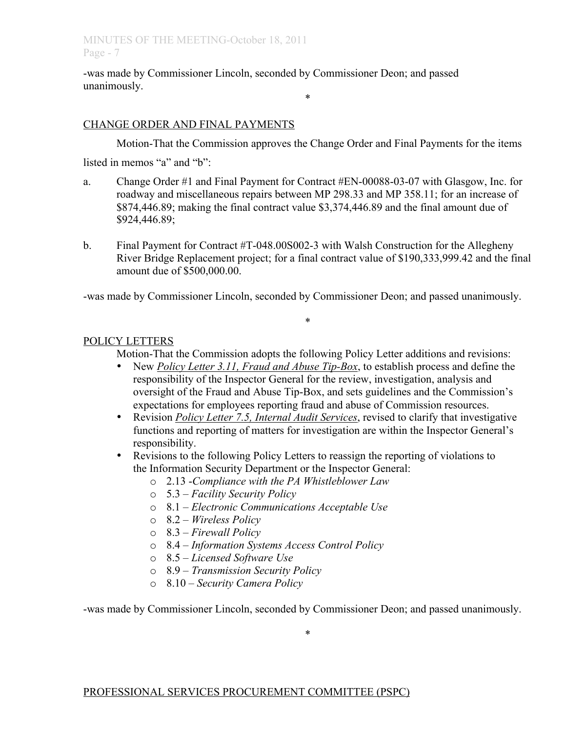-was made by Commissioner Lincoln, seconded by Commissioner Deon; and passed unanimously.

# CHANGE ORDER AND FINAL PAYMENTS

Motion-That the Commission approves the Change Order and Final Payments for the items

\*

listed in memos "a" and "b":

- a. Change Order #1 and Final Payment for Contract #EN-00088-03-07 with Glasgow, Inc. for roadway and miscellaneous repairs between MP 298.33 and MP 358.11; for an increase of \$874,446.89; making the final contract value \$3,374,446.89 and the final amount due of \$924,446.89;
- b. Final Payment for Contract #T-048.00S002-3 with Walsh Construction for the Allegheny River Bridge Replacement project; for a final contract value of \$190,333,999.42 and the final amount due of \$500,000.00.

-was made by Commissioner Lincoln, seconded by Commissioner Deon; and passed unanimously.

\*

# POLICY LETTERS

Motion-That the Commission adopts the following Policy Letter additions and revisions:

- New *Policy Letter 3.11, Fraud and Abuse Tip-Box*, to establish process and define the responsibility of the Inspector General for the review, investigation, analysis and oversight of the Fraud and Abuse Tip-Box, and sets guidelines and the Commission's expectations for employees reporting fraud and abuse of Commission resources.
- Revision *Policy Letter 7.5, Internal Audit Services*, revised to clarify that investigative functions and reporting of matters for investigation are within the Inspector General's responsibility.
- Revisions to the following Policy Letters to reassign the reporting of violations to the Information Security Department or the Inspector General:
	- o 2.13 -*Compliance with the PA Whistleblower Law*
	- o 5.3 *Facility Security Policy*
	- o 8.1 *Electronic Communications Acceptable Use*
	- o 8.2 *Wireless Policy*
	- o 8.3 *Firewall Policy*
	- o 8.4  *Information Systems Access Control Policy*
	- o 8.5  *Licensed Software Use*
	- o 8.9 *Transmission Security Policy*
	- o 8.10 *Security Camera Policy*

-was made by Commissioner Lincoln, seconded by Commissioner Deon; and passed unanimously.

\*

# PROFESSIONAL SERVICES PROCUREMENT COMMITTEE (PSPC)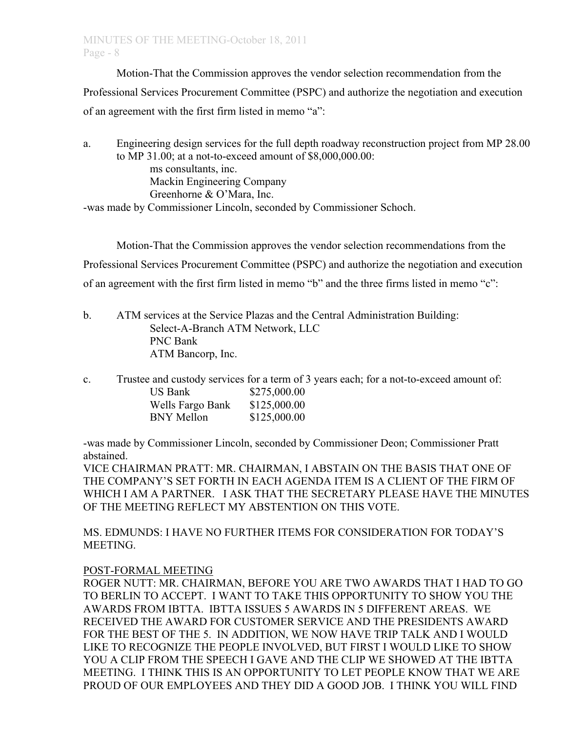Motion-That the Commission approves the vendor selection recommendation from the Professional Services Procurement Committee (PSPC) and authorize the negotiation and execution of an agreement with the first firm listed in memo "a":

a. Engineering design services for the full depth roadway reconstruction project from MP 28.00 to MP 31.00; at a not-to-exceed amount of \$8,000,000.00: ms consultants, inc. Mackin Engineering Company Greenhorne & O'Mara, Inc. -was made by Commissioner Lincoln, seconded by Commissioner Schoch.

Motion-That the Commission approves the vendor selection recommendations from the Professional Services Procurement Committee (PSPC) and authorize the negotiation and execution of an agreement with the first firm listed in memo "b" and the three firms listed in memo "c":

b. ATM services at the Service Plazas and the Central Administration Building: Select-A-Branch ATM Network, LLC PNC Bank ATM Bancorp, Inc.

c. Trustee and custody services for a term of 3 years each; for a not-to-exceed amount of:

| <b>US Bank</b>   | \$275,000.00 |
|------------------|--------------|
| Wells Fargo Bank | \$125,000.00 |
| BNY Mellon       | \$125,000.00 |

-was made by Commissioner Lincoln, seconded by Commissioner Deon; Commissioner Pratt abstained.

VICE CHAIRMAN PRATT: MR. CHAIRMAN, I ABSTAIN ON THE BASIS THAT ONE OF THE COMPANY'S SET FORTH IN EACH AGENDA ITEM IS A CLIENT OF THE FIRM OF WHICH I AM A PARTNER. I ASK THAT THE SECRETARY PLEASE HAVE THE MINUTES OF THE MEETING REFLECT MY ABSTENTION ON THIS VOTE.

MS. EDMUNDS: I HAVE NO FURTHER ITEMS FOR CONSIDERATION FOR TODAY'S MEETING.

# POST-FORMAL MEETING

ROGER NUTT: MR. CHAIRMAN, BEFORE YOU ARE TWO AWARDS THAT I HAD TO GO TO BERLIN TO ACCEPT. I WANT TO TAKE THIS OPPORTUNITY TO SHOW YOU THE AWARDS FROM IBTTA. IBTTA ISSUES 5 AWARDS IN 5 DIFFERENT AREAS. WE RECEIVED THE AWARD FOR CUSTOMER SERVICE AND THE PRESIDENTS AWARD FOR THE BEST OF THE 5. IN ADDITION, WE NOW HAVE TRIP TALK AND I WOULD LIKE TO RECOGNIZE THE PEOPLE INVOLVED, BUT FIRST I WOULD LIKE TO SHOW YOU A CLIP FROM THE SPEECH I GAVE AND THE CLIP WE SHOWED AT THE IBTTA MEETING. I THINK THIS IS AN OPPORTUNITY TO LET PEOPLE KNOW THAT WE ARE PROUD OF OUR EMPLOYEES AND THEY DID A GOOD JOB. I THINK YOU WILL FIND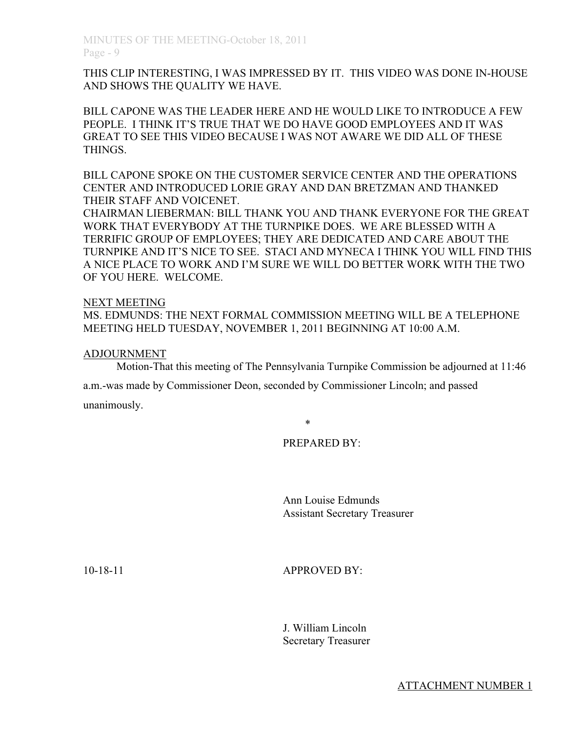THIS CLIP INTERESTING, I WAS IMPRESSED BY IT. THIS VIDEO WAS DONE IN-HOUSE AND SHOWS THE QUALITY WE HAVE.

BILL CAPONE WAS THE LEADER HERE AND HE WOULD LIKE TO INTRODUCE A FEW PEOPLE. I THINK IT'S TRUE THAT WE DO HAVE GOOD EMPLOYEES AND IT WAS GREAT TO SEE THIS VIDEO BECAUSE I WAS NOT AWARE WE DID ALL OF THESE THINGS.

BILL CAPONE SPOKE ON THE CUSTOMER SERVICE CENTER AND THE OPERATIONS CENTER AND INTRODUCED LORIE GRAY AND DAN BRETZMAN AND THANKED THEIR STAFF AND VOICENET.

CHAIRMAN LIEBERMAN: BILL THANK YOU AND THANK EVERYONE FOR THE GREAT WORK THAT EVERYBODY AT THE TURNPIKE DOES. WE ARE BLESSED WITH A TERRIFIC GROUP OF EMPLOYEES; THEY ARE DEDICATED AND CARE ABOUT THE TURNPIKE AND IT'S NICE TO SEE. STACI AND MYNECA I THINK YOU WILL FIND THIS A NICE PLACE TO WORK AND I'M SURE WE WILL DO BETTER WORK WITH THE TWO OF YOU HERE. WELCOME.

#### NEXT MEETING

MS. EDMUNDS: THE NEXT FORMAL COMMISSION MEETING WILL BE A TELEPHONE MEETING HELD TUESDAY, NOVEMBER 1, 2011 BEGINNING AT 10:00 A.M.

#### ADJOURNMENT

Motion-That this meeting of The Pennsylvania Turnpike Commission be adjourned at 11:46

a.m.-was made by Commissioner Deon, seconded by Commissioner Lincoln; and passed

unanimously.

\*

# PREPARED BY:

Ann Louise Edmunds Assistant Secretary Treasurer

10-18-11 APPROVED BY:

J. William Lincoln Secretary Treasurer

ATTACHMENT NUMBER 1